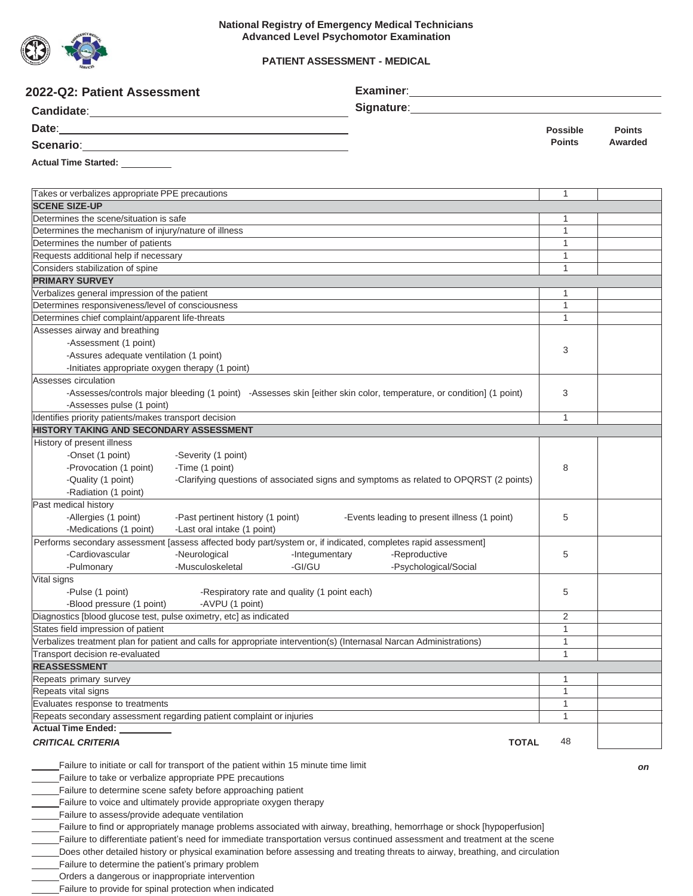

### **PATIENT ASSESSMENT - MEDICAL**

| 2022-Q2: Patient Assessment                                                                                                                      |                                                                                                                                                                                                                                |                              |               |
|--------------------------------------------------------------------------------------------------------------------------------------------------|--------------------------------------------------------------------------------------------------------------------------------------------------------------------------------------------------------------------------------|------------------------------|---------------|
|                                                                                                                                                  | Signature: Management Contract of the Signature of the Signature of the Signature of the Signature of the Signature of the Signature of the Signature of the Signature of the Signature of the Signature of the Signature of t |                              |               |
|                                                                                                                                                  |                                                                                                                                                                                                                                | <b>Possible</b>              | <b>Points</b> |
| Scenario: <u>Contractor Communication</u>                                                                                                        |                                                                                                                                                                                                                                | <b>Points</b>                | Awarded       |
| Actual Time Started: _________                                                                                                                   |                                                                                                                                                                                                                                |                              |               |
| Takes or verbalizes appropriate PPE precautions                                                                                                  |                                                                                                                                                                                                                                | 1                            |               |
| <b>SCENE SIZE-UP</b>                                                                                                                             |                                                                                                                                                                                                                                |                              |               |
| Determines the scene/situation is safe                                                                                                           |                                                                                                                                                                                                                                | 1                            |               |
| Determines the mechanism of injury/nature of illness                                                                                             |                                                                                                                                                                                                                                | $\mathbf{1}$                 |               |
| Determines the number of patients                                                                                                                |                                                                                                                                                                                                                                | $\mathbf{1}$                 |               |
| Requests additional help if necessary<br>Considers stabilization of spine                                                                        |                                                                                                                                                                                                                                | $\mathbf{1}$<br>$\mathbf{1}$ |               |
| <b>PRIMARY SURVEY</b>                                                                                                                            |                                                                                                                                                                                                                                |                              |               |
| Verbalizes general impression of the patient                                                                                                     |                                                                                                                                                                                                                                | 1                            |               |
| Determines responsiveness/level of consciousness                                                                                                 |                                                                                                                                                                                                                                | $\mathbf{1}$                 |               |
| Determines chief complaint/apparent life-threats                                                                                                 |                                                                                                                                                                                                                                | 1                            |               |
| Assesses airway and breathing                                                                                                                    |                                                                                                                                                                                                                                |                              |               |
| -Assessment (1 point)                                                                                                                            |                                                                                                                                                                                                                                |                              |               |
| -Assures adequate ventilation (1 point)                                                                                                          |                                                                                                                                                                                                                                | 3                            |               |
| -Initiates appropriate oxygen therapy (1 point)                                                                                                  |                                                                                                                                                                                                                                |                              |               |
| Assesses circulation                                                                                                                             |                                                                                                                                                                                                                                |                              |               |
| -Assesses/controls major bleeding (1 point) -Assesses skin [either skin color, temperature, or condition] (1 point)<br>-Assesses pulse (1 point) |                                                                                                                                                                                                                                | 3                            |               |
| Identifies priority patients/makes transport decision                                                                                            |                                                                                                                                                                                                                                | $\mathbf{1}$                 |               |
| <b>HISTORY TAKING AND SECONDARY ASSESSMENT</b>                                                                                                   |                                                                                                                                                                                                                                |                              |               |
| History of present illness                                                                                                                       |                                                                                                                                                                                                                                |                              |               |
| -Onset (1 point)<br>-Severity (1 point)                                                                                                          |                                                                                                                                                                                                                                |                              |               |
| -Provocation (1 point)<br>-Time (1 point)                                                                                                        |                                                                                                                                                                                                                                | 8                            |               |
| -Quality (1 point)                                                                                                                               | -Clarifying questions of associated signs and symptoms as related to OPQRST (2 points)                                                                                                                                         |                              |               |
| -Radiation (1 point)                                                                                                                             |                                                                                                                                                                                                                                |                              |               |
| Past medical history                                                                                                                             |                                                                                                                                                                                                                                |                              |               |
| -Allergies (1 point)                                                                                                                             | -Past pertinent history (1 point) -Events leading to present illness (1 point)                                                                                                                                                 | 5                            |               |
| -Medications (1 point)<br>-Last oral intake (1 point)                                                                                            |                                                                                                                                                                                                                                |                              |               |
| Performs secondary assessment [assess affected body part/system or, if indicated, completes rapid assessment]                                    |                                                                                                                                                                                                                                |                              |               |
| -Cardiovascular<br>-Neurological                                                                                                                 | -Reproductive<br>-Integumentary                                                                                                                                                                                                | 5                            |               |
| -Musculoskeletal<br>-GI/GU<br>-Pulmonary                                                                                                         | -Psychological/Social                                                                                                                                                                                                          |                              |               |
| Vital signs<br>-Pulse (1 point)<br>-Respiratory rate and quality (1 point each)                                                                  |                                                                                                                                                                                                                                |                              |               |
| -Blood pressure (1 point)<br>-AVPU (1 point)                                                                                                     |                                                                                                                                                                                                                                | 5                            |               |
| Diagnostics [blood glucose test, pulse oximetry, etc] as indicated                                                                               |                                                                                                                                                                                                                                | 2                            |               |
| States field impression of patient                                                                                                               |                                                                                                                                                                                                                                | $\mathbf{1}$                 |               |
| Verbalizes treatment plan for patient and calls for appropriate intervention(s) (Internasal Narcan Administrations)                              |                                                                                                                                                                                                                                | $\mathbf{1}$                 |               |
| Transport decision re-evaluated                                                                                                                  |                                                                                                                                                                                                                                | 1                            |               |
| <b>REASSESSMENT</b>                                                                                                                              |                                                                                                                                                                                                                                |                              |               |
| Repeats primary survey                                                                                                                           |                                                                                                                                                                                                                                | 1                            |               |
| Repeats vital signs                                                                                                                              |                                                                                                                                                                                                                                | 1                            |               |
| Evaluates response to treatments                                                                                                                 |                                                                                                                                                                                                                                | $\mathbf{1}$                 |               |
| Repeats secondary assessment regarding patient complaint or injuries                                                                             |                                                                                                                                                                                                                                | $\mathbf{1}$                 |               |
| <b>Actual Time Ended:</b>                                                                                                                        |                                                                                                                                                                                                                                |                              |               |
| <b>CRITICAL CRITERIA</b>                                                                                                                         | <b>TOTAL</b>                                                                                                                                                                                                                   | 48                           |               |
| Failure to initiate or call for transport of the patient within 15 minute time limit                                                             |                                                                                                                                                                                                                                |                              | on            |
| Failure to take or verbalize appropriate PPE precautions                                                                                         |                                                                                                                                                                                                                                |                              |               |
| Failure to determine scene safety before approaching patient                                                                                     |                                                                                                                                                                                                                                |                              |               |
| Failure to voice and ultimately provide appropriate oxygen therapy                                                                               |                                                                                                                                                                                                                                |                              |               |
| Failure to assess/provide adequate ventilation                                                                                                   |                                                                                                                                                                                                                                |                              |               |
| Failure to find or appropriately manage problems associated with airway, breathing, hemorrhage or shock [hypoperfusion]                          |                                                                                                                                                                                                                                |                              |               |
| Failure to differentiate patient's need for immediate transportation versus continued assessment and treatment at the scene                      |                                                                                                                                                                                                                                |                              |               |

Does other detailed history or physical examination before assessing and treating threats to airway, breathing, and circulation

Failure to determine the patient's primary problem

Orders a dangerous or inappropriate intervention

Failure to provide for spinal protection when indicated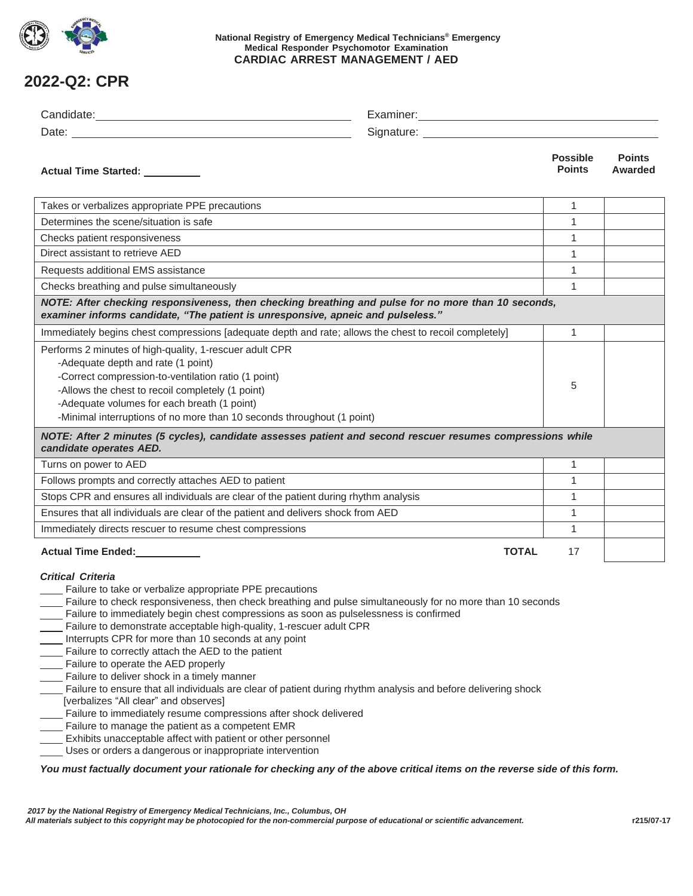

### **National Registry of Emergency Medical Technicians® Emergency Medical Responder Psychomotor Examination CARDIAC ARREST MANAGEMENT / AED**

# **2022-Q2: CPR**

| Actual Time Started: _________                                                                                                                                                                                                                                                                                                                                                                                                                                                                                                                                                                                                                                                                                                                                                                                                                                                                                                                                                                                                                                                                                          |              | <b>Possible</b><br><b>Points</b> | <b>Points</b><br>Awarded |  |
|-------------------------------------------------------------------------------------------------------------------------------------------------------------------------------------------------------------------------------------------------------------------------------------------------------------------------------------------------------------------------------------------------------------------------------------------------------------------------------------------------------------------------------------------------------------------------------------------------------------------------------------------------------------------------------------------------------------------------------------------------------------------------------------------------------------------------------------------------------------------------------------------------------------------------------------------------------------------------------------------------------------------------------------------------------------------------------------------------------------------------|--------------|----------------------------------|--------------------------|--|
| Takes or verbalizes appropriate PPE precautions                                                                                                                                                                                                                                                                                                                                                                                                                                                                                                                                                                                                                                                                                                                                                                                                                                                                                                                                                                                                                                                                         |              | $\mathbf{1}$                     |                          |  |
| Determines the scene/situation is safe                                                                                                                                                                                                                                                                                                                                                                                                                                                                                                                                                                                                                                                                                                                                                                                                                                                                                                                                                                                                                                                                                  |              | 1                                |                          |  |
| Checks patient responsiveness                                                                                                                                                                                                                                                                                                                                                                                                                                                                                                                                                                                                                                                                                                                                                                                                                                                                                                                                                                                                                                                                                           |              | 1                                |                          |  |
| Direct assistant to retrieve AED                                                                                                                                                                                                                                                                                                                                                                                                                                                                                                                                                                                                                                                                                                                                                                                                                                                                                                                                                                                                                                                                                        |              | 1                                |                          |  |
| Requests additional EMS assistance                                                                                                                                                                                                                                                                                                                                                                                                                                                                                                                                                                                                                                                                                                                                                                                                                                                                                                                                                                                                                                                                                      |              | 1                                |                          |  |
| Checks breathing and pulse simultaneously                                                                                                                                                                                                                                                                                                                                                                                                                                                                                                                                                                                                                                                                                                                                                                                                                                                                                                                                                                                                                                                                               |              | $\mathbf{1}$                     |                          |  |
| NOTE: After checking responsiveness, then checking breathing and pulse for no more than 10 seconds,<br>examiner informs candidate, "The patient is unresponsive, apneic and pulseless."                                                                                                                                                                                                                                                                                                                                                                                                                                                                                                                                                                                                                                                                                                                                                                                                                                                                                                                                 |              |                                  |                          |  |
| Immediately begins chest compressions [adequate depth and rate; allows the chest to recoil completely]                                                                                                                                                                                                                                                                                                                                                                                                                                                                                                                                                                                                                                                                                                                                                                                                                                                                                                                                                                                                                  |              | 1                                |                          |  |
| Performs 2 minutes of high-quality, 1-rescuer adult CPR<br>-Adequate depth and rate (1 point)<br>-Correct compression-to-ventilation ratio (1 point)<br>-Allows the chest to recoil completely (1 point)<br>-Adequate volumes for each breath (1 point)<br>-Minimal interruptions of no more than 10 seconds throughout (1 point)                                                                                                                                                                                                                                                                                                                                                                                                                                                                                                                                                                                                                                                                                                                                                                                       |              | 5                                |                          |  |
| NOTE: After 2 minutes (5 cycles), candidate assesses patient and second rescuer resumes compressions while<br>candidate operates AED.                                                                                                                                                                                                                                                                                                                                                                                                                                                                                                                                                                                                                                                                                                                                                                                                                                                                                                                                                                                   |              |                                  |                          |  |
| Turns on power to AED                                                                                                                                                                                                                                                                                                                                                                                                                                                                                                                                                                                                                                                                                                                                                                                                                                                                                                                                                                                                                                                                                                   |              | $\mathbf{1}$                     |                          |  |
| Follows prompts and correctly attaches AED to patient                                                                                                                                                                                                                                                                                                                                                                                                                                                                                                                                                                                                                                                                                                                                                                                                                                                                                                                                                                                                                                                                   |              | 1                                |                          |  |
| Stops CPR and ensures all individuals are clear of the patient during rhythm analysis                                                                                                                                                                                                                                                                                                                                                                                                                                                                                                                                                                                                                                                                                                                                                                                                                                                                                                                                                                                                                                   |              | $\mathbf{1}$                     |                          |  |
| Ensures that all individuals are clear of the patient and delivers shock from AED                                                                                                                                                                                                                                                                                                                                                                                                                                                                                                                                                                                                                                                                                                                                                                                                                                                                                                                                                                                                                                       |              | 1                                |                          |  |
| Immediately directs rescuer to resume chest compressions                                                                                                                                                                                                                                                                                                                                                                                                                                                                                                                                                                                                                                                                                                                                                                                                                                                                                                                                                                                                                                                                |              | 1                                |                          |  |
| Actual Time Ended:<br><u>Letteral</u>                                                                                                                                                                                                                                                                                                                                                                                                                                                                                                                                                                                                                                                                                                                                                                                                                                                                                                                                                                                                                                                                                   | <b>TOTAL</b> | 17                               |                          |  |
| <b>Critical Criteria</b><br>Failure to take or verbalize appropriate PPE precautions<br>Failure to check responsiveness, then check breathing and pulse simultaneously for no more than 10 seconds<br>Failure to immediately begin chest compressions as soon as pulselessness is confirmed<br>Failure to demonstrate acceptable high-quality, 1-rescuer adult CPR<br>Interrupts CPR for more than 10 seconds at any point<br>Failure to correctly attach the AED to the patient<br>____ Failure to operate the AED properly<br>Failure to deliver shock in a timely manner<br>Failure to ensure that all individuals are clear of patient during rhythm analysis and before delivering shock<br>[verbalizes "All clear" and observes]<br>Failure to immediately resume compressions after shock delivered<br>Failure to manage the patient as a competent EMR<br>Exhibits unacceptable affect with patient or other personnel<br>Uses or orders a dangerous or inappropriate intervention<br>You must factually document your rationale for checking any of the above critical items on the reverse side of this form. |              |                                  |                          |  |